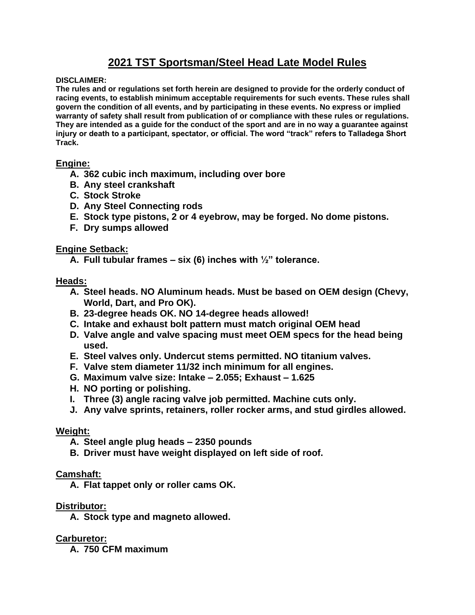# **2021 TST Sportsman/Steel Head Late Model Rules**

**DISCLAIMER:**

**The rules and or regulations set forth herein are designed to provide for the orderly conduct of racing events, to establish minimum acceptable requirements for such events. These rules shall govern the condition of all events, and by participating in these events. No express or implied warranty of safety shall result from publication of or compliance with these rules or regulations. They are intended as a guide for the conduct of the sport and are in no way a guarantee against injury or death to a participant, spectator, or official. The word "track" refers to Talladega Short Track.**

## **Engine:**

- **A. 362 cubic inch maximum, including over bore**
- **B. Any steel crankshaft**
- **C. Stock Stroke**
- **D. Any Steel Connecting rods**
- **E. Stock type pistons, 2 or 4 eyebrow, may be forged. No dome pistons.**
- **F. Dry sumps allowed**

## **Engine Setback:**

**A. Full tubular frames – six (6) inches with ½" tolerance.**

## **Heads:**

- **A. Steel heads. NO Aluminum heads. Must be based on OEM design (Chevy, World, Dart, and Pro OK).**
- **B. 23-degree heads OK. NO 14-degree heads allowed!**
- **C. Intake and exhaust bolt pattern must match original OEM head**
- **D. Valve angle and valve spacing must meet OEM specs for the head being used.**
- **E. Steel valves only. Undercut stems permitted. NO titanium valves.**
- **F. Valve stem diameter 11/32 inch minimum for all engines.**
- **G. Maximum valve size: Intake – 2.055; Exhaust – 1.625**
- **H. NO porting or polishing.**
- **I. Three (3) angle racing valve job permitted. Machine cuts only.**
- **J. Any valve sprints, retainers, roller rocker arms, and stud girdles allowed.**

## **Weight:**

- **A. Steel angle plug heads – 2350 pounds**
- **B. Driver must have weight displayed on left side of roof.**

## **Camshaft:**

**A. Flat tappet only or roller cams OK.**

## **Distributor:**

**A. Stock type and magneto allowed.**

## **Carburetor:**

**A. 750 CFM maximum**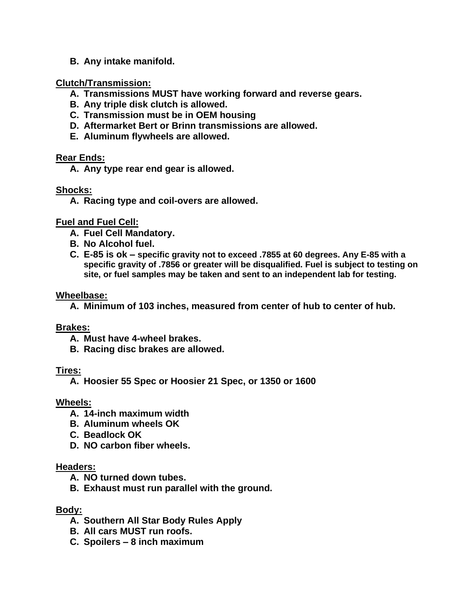**B. Any intake manifold.**

# **Clutch/Transmission:**

- **A. Transmissions MUST have working forward and reverse gears.**
- **B. Any triple disk clutch is allowed.**
- **C. Transmission must be in OEM housing**
- **D. Aftermarket Bert or Brinn transmissions are allowed.**
- **E. Aluminum flywheels are allowed.**

## **Rear Ends:**

**A. Any type rear end gear is allowed.**

## **Shocks:**

**A. Racing type and coil-overs are allowed.**

## **Fuel and Fuel Cell:**

- **A. Fuel Cell Mandatory.**
- **B. No Alcohol fuel.**
- **C. E-85 is ok – specific gravity not to exceed .7855 at 60 degrees. Any E-85 with a specific gravity of .7856 or greater will be disqualified. Fuel is subject to testing on site, or fuel samples may be taken and sent to an independent lab for testing.**

## **Wheelbase:**

**A. Minimum of 103 inches, measured from center of hub to center of hub.**

# **Brakes:**

- **A. Must have 4-wheel brakes.**
- **B. Racing disc brakes are allowed.**

# **Tires:**

**A. Hoosier 55 Spec or Hoosier 21 Spec, or 1350 or 1600**

# **Wheels:**

- **A. 14-inch maximum width**
- **B. Aluminum wheels OK**
- **C. Beadlock OK**
- **D. NO carbon fiber wheels.**

# **Headers:**

- **A. NO turned down tubes.**
- **B. Exhaust must run parallel with the ground.**

## **Body:**

- **A. Southern All Star Body Rules Apply**
- **B. All cars MUST run roofs.**
- **C. Spoilers – 8 inch maximum**